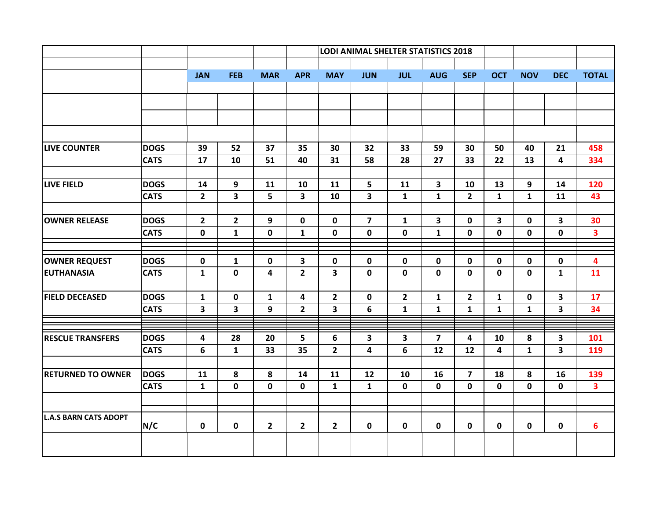|                              |             |                         |                         |                | LODI ANIMAL SHELTER STATISTICS 2018 |                         |                         |                         |                         |                         |                         |              |                         |                         |
|------------------------------|-------------|-------------------------|-------------------------|----------------|-------------------------------------|-------------------------|-------------------------|-------------------------|-------------------------|-------------------------|-------------------------|--------------|-------------------------|-------------------------|
|                              |             | <b>JAN</b>              | <b>FEB</b>              | <b>MAR</b>     | <b>APR</b>                          | <b>MAY</b>              | <b>JUN</b>              | <b>JUL</b>              | <b>AUG</b>              | <b>SEP</b>              | <b>OCT</b>              | <b>NOV</b>   | <b>DEC</b>              | <b>TOTAL</b>            |
|                              |             |                         |                         |                |                                     |                         |                         |                         |                         |                         |                         |              |                         |                         |
|                              |             |                         |                         |                |                                     |                         |                         |                         |                         |                         |                         |              |                         |                         |
|                              |             |                         |                         |                |                                     |                         |                         |                         |                         |                         |                         |              |                         |                         |
|                              |             |                         |                         |                |                                     |                         |                         |                         |                         |                         |                         |              |                         |                         |
| <b>LIVE COUNTER</b>          | <b>DOGS</b> | 39                      | 52                      | 37             | 35                                  | 30                      | 32                      | 33                      | 59                      | 30                      | 50                      | 40           | 21                      | 458                     |
|                              | <b>CATS</b> | 17                      | 10                      | 51             | 40                                  | 31                      | 58                      | 28                      | 27                      | 33                      | 22                      | 13           | 4                       | 334                     |
| <b>LIVE FIELD</b>            | <b>DOGS</b> | 14                      | 9                       | 11             | 10                                  | 11                      | 5                       | 11                      | $\overline{\mathbf{3}}$ | 10                      | 13                      | 9            | 14                      | 120                     |
|                              | <b>CATS</b> | $\overline{2}$          | $\overline{\mathbf{3}}$ | 5              | $\overline{\mathbf{3}}$             | 10                      | $\overline{\mathbf{3}}$ | $\mathbf{1}$            | $\mathbf{1}$            | $\overline{2}$          | $\mathbf{1}$            | $\mathbf{1}$ | 11                      | 43                      |
| <b>OWNER RELEASE</b>         | <b>DOGS</b> | $\overline{2}$          | $\overline{2}$          | 9              | $\mathbf 0$                         | $\mathbf 0$             | $\overline{7}$          | $\mathbf{1}$            | $\overline{\mathbf{3}}$ | $\mathbf 0$             | $\overline{\mathbf{3}}$ | $\mathbf 0$  | $\overline{\mathbf{3}}$ | 30                      |
|                              | <b>CATS</b> | $\mathbf 0$             | $\mathbf{1}$            | $\mathbf 0$    | $\mathbf{1}$                        | 0                       | $\mathbf 0$             | $\mathbf 0$             | $\mathbf{1}$            | 0                       | $\mathbf 0$             | 0            | $\mathbf 0$             | $\overline{\mathbf{3}}$ |
|                              |             |                         |                         |                |                                     |                         |                         |                         |                         |                         |                         |              |                         |                         |
| <b>OWNER REQUEST</b>         | <b>DOGS</b> | $\mathbf 0$             | $\mathbf{1}$            | 0              | 3                                   | 0                       | $\mathbf 0$             | 0                       | $\mathbf 0$             | $\mathbf 0$             | 0                       | 0            | 0                       | 4                       |
| <b>EUTHANASIA</b>            | <b>CATS</b> | $\mathbf{1}$            | $\mathbf 0$             | 4              | $\overline{2}$                      | $\overline{\mathbf{3}}$ | $\pmb{0}$               | $\mathbf 0$             | $\mathbf 0$             | $\mathbf 0$             | $\mathbf 0$             | $\mathbf 0$  | $\mathbf{1}$            | 11                      |
| <b>FIELD DECEASED</b>        | <b>DOGS</b> | $\mathbf{1}$            | $\mathbf 0$             | $\mathbf{1}$   | $\overline{\mathbf{4}}$             | $\overline{2}$          | $\mathbf 0$             | $\overline{2}$          | $\mathbf{1}$            | $\overline{2}$          | $\mathbf{1}$            | $\mathbf 0$  | $\overline{\mathbf{3}}$ | 17                      |
|                              | <b>CATS</b> | $\overline{\mathbf{3}}$ | 3                       | 9              | $\mathbf{2}$                        | 3                       | 6                       | $\mathbf{1}$            | $\mathbf{1}$            | $\mathbf{1}$            | $\mathbf{1}$            | $\mathbf{1}$ | 3                       | 34                      |
|                              |             |                         |                         |                |                                     |                         |                         |                         |                         |                         |                         |              |                         |                         |
| <b>RESCUE TRANSFERS</b>      | <b>DOGS</b> | 4                       | 28                      | 20             | 5                                   | 6                       | 3                       | $\overline{\mathbf{3}}$ | $\overline{\mathbf{z}}$ | 4                       | 10                      | 8            | 3                       | 101                     |
|                              | <b>CATS</b> | 6                       | $\mathbf{1}$            | 33             | 35                                  | $\overline{2}$          | 4                       | 6                       | 12                      | 12                      | 4                       | $\mathbf{1}$ | 3                       | 119                     |
| <b>RETURNED TO OWNER</b>     | <b>DOGS</b> | 11                      | 8                       | 8              | 14                                  | 11                      | 12                      | 10                      | 16                      | $\overline{\mathbf{z}}$ | 18                      | 8            | 16                      | 139                     |
|                              | <b>CATS</b> | $\mathbf{1}$            | $\mathbf 0$             | $\mathbf 0$    | $\mathbf 0$                         | $\mathbf{1}$            | $\mathbf{1}$            | $\mathbf 0$             | $\mathbf 0$             | $\mathbf 0$             | $\mathbf 0$             | $\mathbf 0$  | $\mathbf 0$             | 3                       |
|                              |             |                         |                         |                |                                     |                         |                         |                         |                         |                         |                         |              |                         |                         |
| <b>L.A.S BARN CATS ADOPT</b> | N/C         | 0                       | 0                       | $\overline{2}$ | $\mathbf{2}$                        | $\mathbf{2}$            | $\pmb{0}$               | 0                       | 0                       | 0                       | 0                       | 0            | 0                       | $6\phantom{1}6$         |
|                              |             |                         |                         |                |                                     |                         |                         |                         |                         |                         |                         |              |                         |                         |